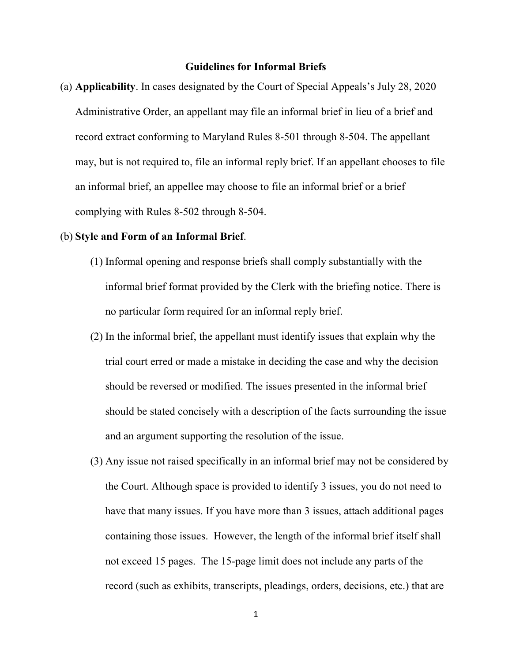## **Guidelines for Informal Briefs**

(a) **Applicability**. In cases designated by the Court of Special Appeals's July 28, 2020 Administrative Order, an appellant may file an informal brief in lieu of a brief and record extract conforming to Maryland Rules 8-501 through 8-504. The appellant may, but is not required to, file an informal reply brief. If an appellant chooses to file an informal brief, an appellee may choose to file an informal brief or a brief complying with Rules 8-502 through 8-504.

## (b) **Style and Form of an Informal Brief**.

- (1) Informal opening and response briefs shall comply substantially with the informal brief format provided by the Clerk with the briefing notice. There is no particular form required for an informal reply brief.
- (2) In the informal brief, the appellant must identify issues that explain why the trial court erred or made a mistake in deciding the case and why the decision should be reversed or modified. The issues presented in the informal brief should be stated concisely with a description of the facts surrounding the issue and an argument supporting the resolution of the issue.
- (3) Any issue not raised specifically in an informal brief may not be considered by the Court. Although space is provided to identify 3 issues, you do not need to have that many issues. If you have more than 3 issues, attach additional pages containing those issues. However, the length of the informal brief itself shall not exceed 15 pages. The 15-page limit does not include any parts of the record (such as exhibits, transcripts, pleadings, orders, decisions, etc.) that are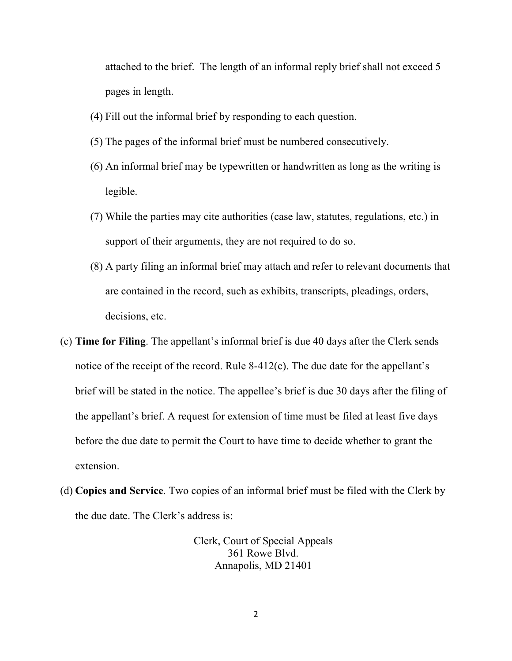attached to the brief. The length of an informal reply brief shall not exceed 5 pages in length.

- (4) Fill out the informal brief by responding to each question.
- (5) The pages of the informal brief must be numbered consecutively.
- (6) An informal brief may be typewritten or handwritten as long as the writing is legible.
- (7) While the parties may cite authorities (case law, statutes, regulations, etc.) in support of their arguments, they are not required to do so.
- (8) A party filing an informal brief may attach and refer to relevant documents that are contained in the record, such as exhibits, transcripts, pleadings, orders, decisions, etc.
- (c) **Time for Filing**. The appellant's informal brief is due 40 days after the Clerk sends notice of the receipt of the record. Rule 8-412(c). The due date for the appellant's brief will be stated in the notice. The appellee's brief is due 30 days after the filing of the appellant's brief. A request for extension of time must be filed at least five days before the due date to permit the Court to have time to decide whether to grant the extension.
- (d) **Copies and Service**. Two copies of an informal brief must be filed with the Clerk by the due date. The Clerk's address is:

Clerk, Court of Special Appeals 361 Rowe Blvd. Annapolis, MD 21401